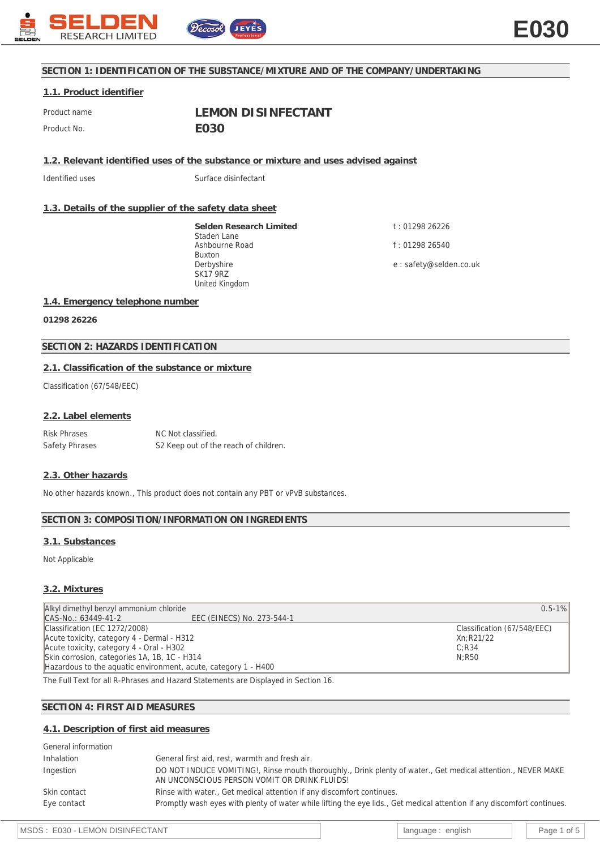

# **SECTION 1: IDENTIFICATION OF THE SUBSTANCE/MIXTURE AND OF THE COMPANY/UNDERTAKING**

# **1.1. Product identifier**

Product name **LEMON DISINFECTANT** Product No. **E030** 

**1.2. Relevant identified uses of the substance or mixture and uses advised against**

Identified uses Surface disinfectant

# **1.3. Details of the supplier of the safety data sheet**

**Selden Research Limited** Staden Lane Ashbourne Road Buxton Derbyshire SK17 9RZ United Kingdom

t : 01298 26226 f : 01298 26540 e : safety@selden.co.uk

### **1.4. Emergency telephone number**

**01298 26226**

# **SECTION 2: HAZARDS IDENTIFICATION**

### **2.1. Classification of the substance or mixture**

Classification (67/548/EEC)

#### **2.2. Label elements**

Risk Phrases NC Not classified. Safety Phrases S2 Keep out of the reach of children.

### **2.3. Other hazards**

No other hazards known., This product does not contain any PBT or vPvB substances.

### **SECTION 3: COMPOSITION/INFORMATION ON INGREDIENTS**

### **3.1. Substances**

Not Applicable

#### **3.2. Mixtures**

| Alkyl dimethyl benzyl ammonium chloride                        | $0.5 - 1\%$                 |
|----------------------------------------------------------------|-----------------------------|
| CAS-No.: 63449-41-2<br>EEC (EINECS) No. 273-544-1              |                             |
| Classification (EC 1272/2008)                                  | Classification (67/548/EEC) |
| Acute toxicity, category 4 - Dermal - H312                     | Xn:R21/22                   |
| Acute toxicity, category 4 - Oral - H302                       | C: R34                      |
| Skin corrosion, categories 1A, 1B, 1C - H314                   | N:R50                       |
| Hazardous to the aguatic environment, acute, category 1 - H400 |                             |

The Full Text for all R-Phrases and Hazard Statements are Displayed in Section 16.

### **SECTION 4: FIRST AID MEASURES**

#### **4.1. Description of first aid measures**

| General information |                                                                                                                                                              |
|---------------------|--------------------------------------------------------------------------------------------------------------------------------------------------------------|
| Inhalation          | General first aid, rest, warmth and fresh air.                                                                                                               |
| Ingestion           | DO NOT INDUCE VOMITING!, Rinse mouth thoroughly., Drink plenty of water., Get medical attention., NEVER MAKE<br>AN UNCONSCIOUS PERSON VOMIT OR DRINK FLUIDS! |
| Skin contact        | Rinse with water., Get medical attention if any discomfort continues.                                                                                        |
| Eye contact         | Promptly wash eyes with plenty of water while lifting the eye lids., Get medical attention if any discomfort continues.                                      |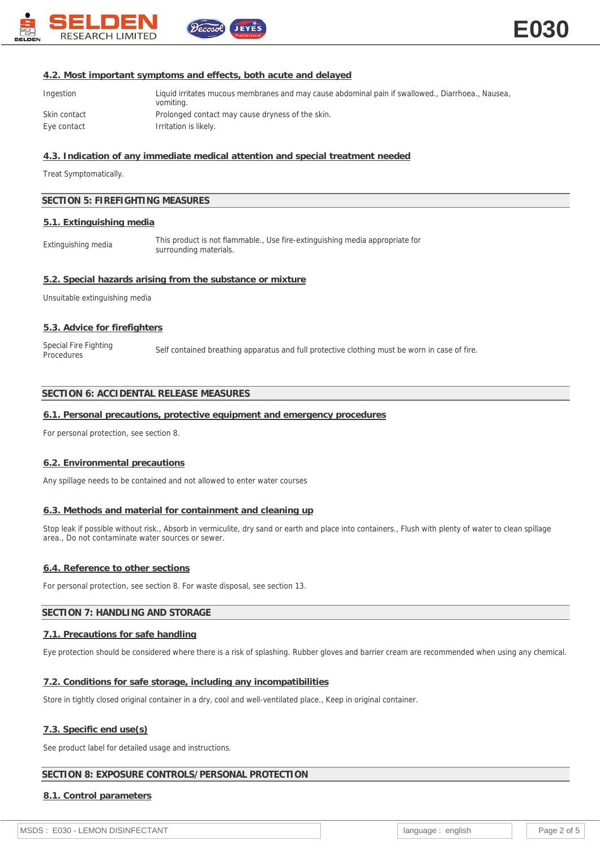

# **4.2. Most important symptoms and effects, both acute and delayed**

ecosol

| Ingestion    | Liquid irritates mucous membranes and may cause abdominal pain if swallowed., Diarrhoea., Nausea,<br>vomiting. |
|--------------|----------------------------------------------------------------------------------------------------------------|
| Skin contact | Prolonged contact may cause dryness of the skin.                                                               |
| Eye contact  | Irritation is likely.                                                                                          |

# **4.3. Indication of any immediate medical attention and special treatment needed**

Treat Symptomatically.

# **SECTION 5: FIREFIGHTING MEASURES**

# **5.1. Extinguishing media**

Extinguishing media This product is not flammable., Use fire-extinguishing media appropriate for surrounding materials.

# **5.2. Special hazards arising from the substance or mixture**

Unsuitable extinguishing media

# **5.3. Advice for firefighters**

Special Fire Fighting<br>Procedures Self contained breathing apparatus and full protective clothing must be worn in case of fire.

# **SECTION 6: ACCIDENTAL RELEASE MEASURES**

# **6.1. Personal precautions, protective equipment and emergency procedures**

For personal protection, see section 8.

### **6.2. Environmental precautions**

Any spillage needs to be contained and not allowed to enter water courses

# **6.3. Methods and material for containment and cleaning up**

Stop leak if possible without risk., Absorb in vermiculite, dry sand or earth and place into containers., Flush with plenty of water to clean spillage area., Do not contaminate water sources or sewer.

### **6.4. Reference to other sections**

For personal protection, see section 8. For waste disposal, see section 13.

# **SECTION 7: HANDLING AND STORAGE**

### **7.1. Precautions for safe handling**

Eye protection should be considered where there is a risk of splashing. Rubber gloves and barrier cream are recommended when using any chemical.

### **7.2. Conditions for safe storage, including any incompatibilities**

Store in tightly closed original container in a dry, cool and well-ventilated place., Keep in original container.

# **7.3. Specific end use(s)**

See product label for detailed usage and instructions.

# **SECTION 8: EXPOSURE CONTROLS/PERSONAL PROTECTION**

### **8.1. Control parameters**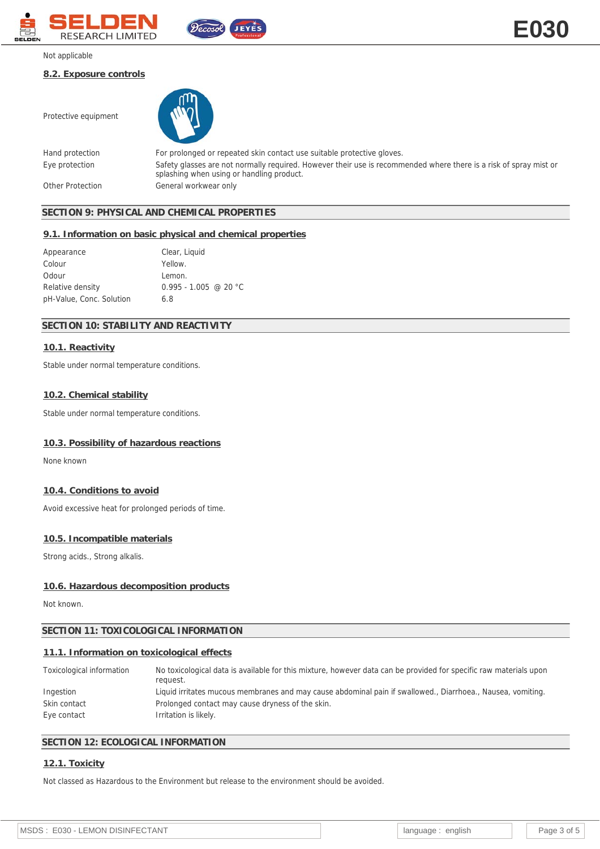

### Not applicable

### **8.2. Exposure controls**

Protective equipment



Hand protection For prolonged or repeated skin contact use suitable protective gloves. Eye protection Safety glasses are not normally required. However their use is recommended where there is a risk of spray mist or splashing when using or handling product. Other Protection General workwear only

# **SECTION 9: PHYSICAL AND CHEMICAL PROPERTIES**

#### **9.1. Information on basic physical and chemical properties**

| Appearance               | Clear, Liquid           |
|--------------------------|-------------------------|
| Colour                   | Yellow.                 |
| Odour                    | Lemon.                  |
| Relative density         | $0.995 - 1.005$ @ 20 °C |
| pH-Value, Conc. Solution | 6.8                     |

# **SECTION 10: STABILITY AND REACTIVITY**

# **10.1. Reactivity**

Stable under normal temperature conditions.

#### **10.2. Chemical stability**

Stable under normal temperature conditions.

#### **10.3. Possibility of hazardous reactions**

None known

# **10.4. Conditions to avoid**

Avoid excessive heat for prolonged periods of time.

# **10.5. Incompatible materials**

Strong acids., Strong alkalis.

#### **10.6. Hazardous decomposition products**

Not known.

# **SECTION 11: TOXICOLOGICAL INFORMATION**

# **11.1. Information on toxicological effects**

| Toxicological information | No toxicological data is available for this mixture, however data can be provided for specific raw materials upon<br>request. |
|---------------------------|-------------------------------------------------------------------------------------------------------------------------------|
| Ingestion                 | Liquid irritates mucous membranes and may cause abdominal pain if swallowed., Diarrhoea., Nausea, vomiting.                   |
| Skin contact              | Prolonged contact may cause dryness of the skin.                                                                              |
| Eye contact               | Irritation is likely.                                                                                                         |

# **SECTION 12: ECOLOGICAL INFORMATION**

### **12.1. Toxicity**

Not classed as Hazardous to the Environment but release to the environment should be avoided.

**E030**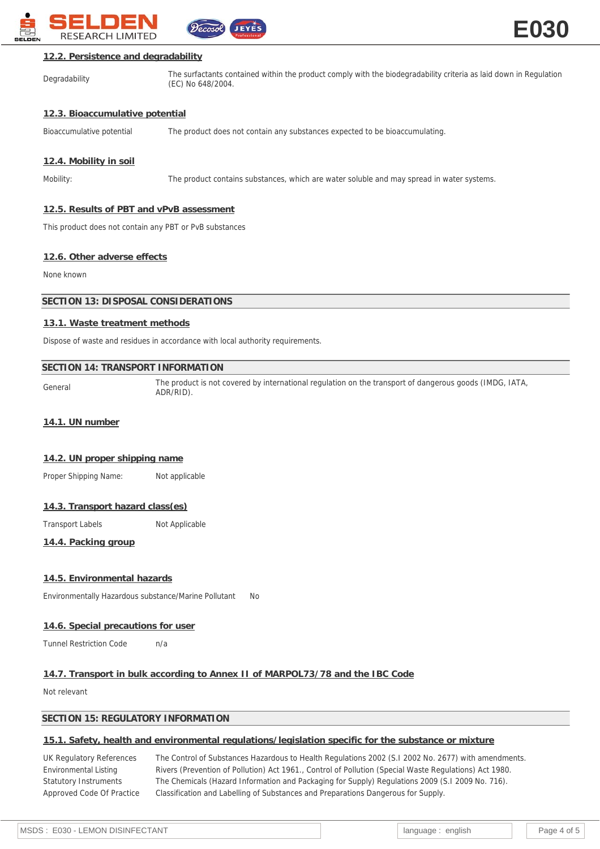

# **12.2. Persistence and degradability**

Degradability The surfactants contained within the product comply with the biodegradability criteria as laid down in Regulation (EC) No 648/2004.

# **12.3. Bioaccumulative potential**

Bioaccumulative potential The product does not contain any substances expected to be bioaccumulating.

# **12.4. Mobility in soil**

Mobility: The product contains substances, which are water soluble and may spread in water systems.

# **12.5. Results of PBT and vPvB assessment**

This product does not contain any PBT or PvB substances

### **12.6. Other adverse effects**

None known

# **SECTION 13: DISPOSAL CONSIDERATIONS**

# **13.1. Waste treatment methods**

Dispose of waste and residues in accordance with local authority requirements.

### **SECTION 14: TRANSPORT INFORMATION**

General The product is not covered by international regulation on the transport of dangerous goods (IMDG, IATA, ADR/RID).

#### **14.1. UN number**

### **14.2. UN proper shipping name**

Proper Shipping Name: Not applicable

### **14.3. Transport hazard class(es)**

Transport Labels Not Applicable

**14.4. Packing group**

### **14.5. Environmental hazards**

Environmentally Hazardous substance/Marine Pollutant No

### **14.6. Special precautions for user**

Tunnel Restriction Code h/a

# **14.7. Transport in bulk according to Annex II of MARPOL73/78 and the IBC Code**

Not relevant

### **SECTION 15: REGULATORY INFORMATION**

### **15.1. Safety, health and environmental regulations/legislation specific for the substance or mixture**

UK Regulatory References The Control of Substances Hazardous to Health Regulations 2002 (S.I 2002 No. 2677) with amendments. Environmental Listing Rivers (Prevention of Pollution) Act 1961., Control of Pollution (Special Waste Regulations) Act 1980. Statutory Instruments The Chemicals (Hazard Information and Packaging for Supply) Regulations 2009 (S.I 2009 No. 716). Approved Code Of Practice Classification and Labelling of Substances and Preparations Dangerous for Supply.